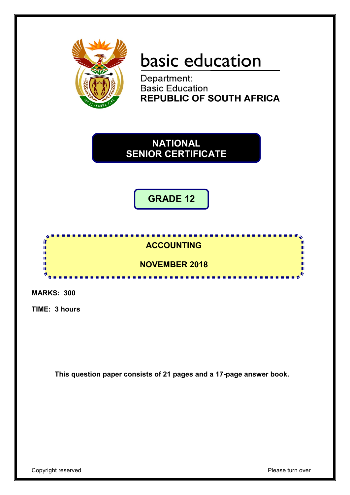

## basic education

Department: **Basic Education REPUBLIC OF SOUTH AFRICA** 

**NATIONAL SENIOR CERTIFICATE**

**GRADE 12**



**MARKS: 300**

**TIME: 3 hours**

**This question paper consists of 21 pages and a 17-page answer book.**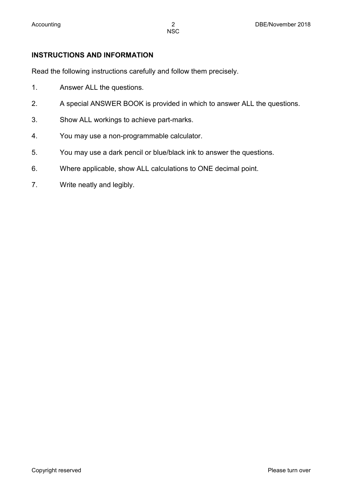#### **INSTRUCTIONS AND INFORMATION**

Read the following instructions carefully and follow them precisely.

- 1. Answer ALL the questions.
- 2. A special ANSWER BOOK is provided in which to answer ALL the questions.
- 3. Show ALL workings to achieve part-marks.
- 4. You may use a non-programmable calculator.
- 5. You may use a dark pencil or blue/black ink to answer the questions.
- 6. Where applicable, show ALL calculations to ONE decimal point.
- 7. Write neatly and legibly.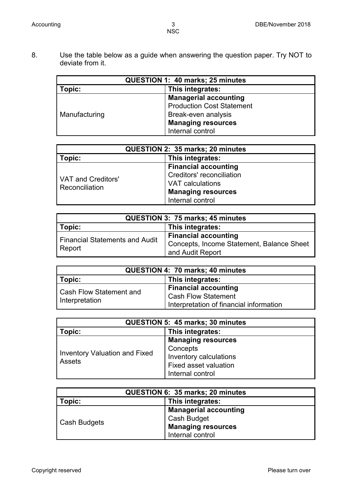8. Use the table below as a guide when answering the question paper. Try NOT to deviate from it.

| QUESTION 1: 40 marks; 25 minutes |                                  |  |  |
|----------------------------------|----------------------------------|--|--|
| This integrates:<br>Topic:       |                                  |  |  |
|                                  | <b>Managerial accounting</b>     |  |  |
|                                  | <b>Production Cost Statement</b> |  |  |
| Manufacturing                    | Break-even analysis              |  |  |
|                                  | <b>Managing resources</b>        |  |  |
|                                  | Internal control                 |  |  |

| QUESTION 2: 35 marks; 20 minutes                   |                                  |  |  |
|----------------------------------------------------|----------------------------------|--|--|
| This integrates:<br>Topic:                         |                                  |  |  |
|                                                    | <b>Financial accounting</b>      |  |  |
|                                                    | <b>Creditors' reconciliation</b> |  |  |
| <b>VAT and Creditors'</b><br><b>Reconciliation</b> | VAT calculations                 |  |  |
|                                                    | <b>Managing resources</b>        |  |  |
|                                                    | Internal control                 |  |  |

| QUESTION 3: 75 marks; 45 minutes      |                                           |  |  |
|---------------------------------------|-------------------------------------------|--|--|
| Topic:<br>This integrates:            |                                           |  |  |
| <b>Financial Statements and Audit</b> | <b>Financial accounting</b>               |  |  |
|                                       | Concepts, Income Statement, Balance Sheet |  |  |
| Report                                | and Audit Report                          |  |  |

| QUESTION 4: 70 marks; 40 minutes |                                         |  |  |
|----------------------------------|-----------------------------------------|--|--|
| Topic:<br>This integrates:       |                                         |  |  |
|                                  | <b>Financial accounting</b>             |  |  |
| <b>Cash Flow Statement and</b>   | <b>Cash Flow Statement</b>              |  |  |
| Interpretation                   | Interpretation of financial information |  |  |

| QUESTION 5: 45 marks; 30 minutes               |                                                                                                              |  |  |
|------------------------------------------------|--------------------------------------------------------------------------------------------------------------|--|--|
| This integrates:<br>Topic:                     |                                                                                                              |  |  |
| <b>Inventory Valuation and Fixed</b><br>Assets | <b>Managing resources</b><br>Concepts<br>Inventory calculations<br>Fixed asset valuation<br>Internal control |  |  |

| QUESTION 6: 35 marks; 20 minutes |                                                                                              |  |  |
|----------------------------------|----------------------------------------------------------------------------------------------|--|--|
| This integrates:<br>Topic:       |                                                                                              |  |  |
| <b>Cash Budgets</b>              | <b>Managerial accounting</b><br>Cash Budget<br><b>Managing resources</b><br>Internal control |  |  |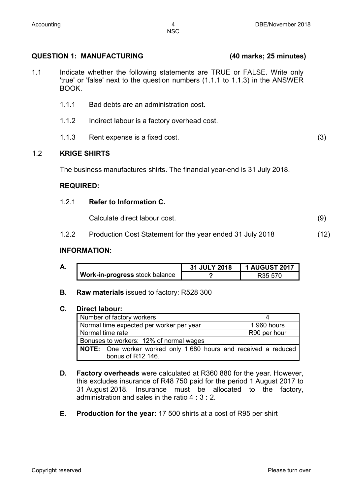#### **QUESTION 1: MANUFACTURING (40 marks; 25 minutes)**

- 1.1 Indicate whether the following statements are TRUE or FALSE. Write only 'true' or 'false' next to the question numbers (1.1.1 to 1.1.3) in the ANSWER BOOK.
	- 1.1.1 Bad debts are an administration cost.
	- 1.1.2 Indirect labour is a factory overhead cost.
	- 1.1.3 Rent expense is a fixed cost. (3)

#### 1.2 **KRIGE SHIRTS**

The business manufactures shirts. The financial year-end is 31 July 2018.

#### **REQUIRED:**

#### 1.2.1 **Refer to Information C.**

Calculate direct labour cost. (9)

1.2.2 Production Cost Statement for the year ended 31 July 2018 (12)

#### **INFORMATION:**

| Δ<br>А. |                                       | 31 JULY 2018 | <b>1 AUGUST 2017</b> |  |
|---------|---------------------------------------|--------------|----------------------|--|
|         | <b>Work-in-progress</b> stock balance |              | R <sub>35</sub> 570  |  |

**B. Raw materials** issued to factory: R528 300

#### **C. Direct labour:**

| Number of factory workers                                       |              |
|-----------------------------------------------------------------|--------------|
| Normal time expected per worker per year                        | 1 960 hours  |
| Normal time rate                                                | R90 per hour |
| Bonuses to workers: 12% of normal wages                         |              |
| NOTE: One worker worked only 1 680 hours and received a reduced |              |
| bonus of R12 146.                                               |              |

- **D. Factory overheads** were calculated at R360 880 for the year. However, this excludes insurance of R48 750 paid for the period 1 August 2017 to 31 August 2018. Insurance must be allocated to the factory, administration and sales in the ratio 4 **:** 3 **:** 2.
- **E. Production for the year:** 17 500 shirts at a cost of R95 per shirt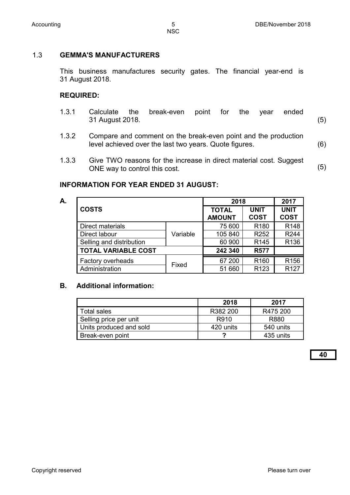#### 1.3 **GEMMA'S MANUFACTURERS**

This business manufactures security gates. The financial year-end is 31 August 2018.

#### **REQUIRED:**

- 1.3.1 Calculate the break-even point for the year ended 31 August 2018. (5)
- 1.3.2 Compare and comment on the break-even point and the production level achieved over the last two years. Quote figures. (6)
- 1.3.3 Give TWO reasons for the increase in direct material cost. Suggest ONE way to control this cost. (5)

#### **INFORMATION FOR YEAR ENDED 31 AUGUST:**

**A.**

| <b>COSTS</b>               |          | 2018                          | 2017                       |                            |
|----------------------------|----------|-------------------------------|----------------------------|----------------------------|
|                            |          | <b>TOTAL</b><br><b>AMOUNT</b> | <b>UNIT</b><br><b>COST</b> | <b>UNIT</b><br><b>COST</b> |
| Direct materials           |          | 75 600                        | R <sub>180</sub>           | R <sub>148</sub>           |
| Direct labour              | Variable | 105 840                       | R <sub>252</sub>           | R244                       |
| Selling and distribution   |          | 60 900                        | R <sub>145</sub>           | R136                       |
| <b>TOTAL VARIABLE COST</b> |          | 242 340                       | <b>R577</b>                |                            |
| Factory overheads          |          | 67 200                        | R <sub>160</sub>           | R <sub>156</sub>           |
| Administration             | Fixed    | 51 660                        | R <sub>123</sub>           | R <sub>127</sub>           |

#### **B. Additional information:**

|                         | 2018      | 2017      |
|-------------------------|-----------|-----------|
| Total sales             | R382 200  | R475 200  |
| Selling price per unit  | R910      | R880      |
| Units produced and sold | 420 units | 540 units |
| Break-even point        |           | 435 units |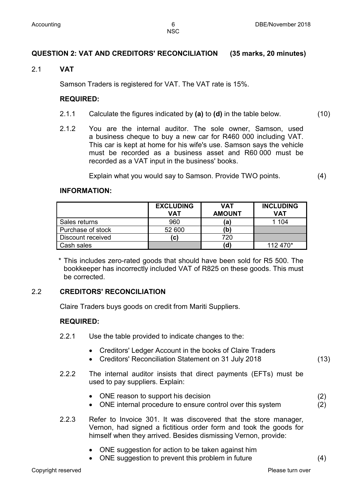**NSC** 

#### **QUESTION 2: VAT AND CREDITORS' RECONCILIATION (35 marks, 20 minutes)**

#### 2.1 **VAT**

Samson Traders is registered for VAT. The VAT rate is 15%.

#### **REQUIRED:**

- 2.1.1 Calculate the figures indicated by **(a)** to **(d)** in the table below. (10)
- 2.1.2 You are the internal auditor. The sole owner, Samson, used a business cheque to buy a new car for R460 000 including VAT. This car is kept at home for his wife's use. Samson says the vehicle must be recorded as a business asset and R60 000 must be recorded as a VAT input in the business' books.

Explain what you would say to Samson. Provide TWO points. (4)

#### **INFORMATION:**

|                   | <b>EXCLUDING</b><br>VAT | <b>VAT</b><br><b>AMOUNT</b> | <b>INCLUDING</b><br>VAT |
|-------------------|-------------------------|-----------------------------|-------------------------|
| Sales returns     | 960                     | $\mathbf{a}$                | 1 104                   |
| Purchase of stock | 52 600                  | (b)                         |                         |
| Discount received | C)                      | 720                         |                         |
| Cash sales        |                         | (d                          | 112 470*                |

\* This includes zero-rated goods that should have been sold for R5 500. The bookkeeper has incorrectly included VAT of R825 on these goods. This must be corrected.

#### 2.2 **CREDITORS' RECONCILIATION**

Claire Traders buys goods on credit from Mariti Suppliers.

#### **REQUIRED:**

- 2.2.1 Use the table provided to indicate changes to the:
	- Creditors' Ledger Account in the books of Claire Traders
	- Creditors' Reconciliation Statement on 31 July 2018 (13)
- 2.2.2 The internal auditor insists that direct payments (EFTs) must be used to pay suppliers. Explain:
	- ONE reason to support his decision
	- ONE internal procedure to ensure control over this system
- 2.2.3 Refer to Invoice 301. It was discovered that the store manager, Vernon, had signed a fictitious order form and took the goods for himself when they arrived. Besides dismissing Vernon, provide:
	- ONE suggestion for action to be taken against him
	- ONE suggestion to prevent this problem in future (4)

(2) (2)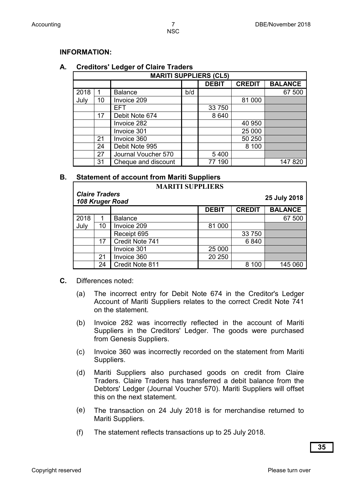#### **INFORMATION:**

#### **A. Creditors' Ledger of Claire Traders**

| <b>MARITI SUPPLIERS (CL5)</b> |    |                     |              |               |                |         |
|-------------------------------|----|---------------------|--------------|---------------|----------------|---------|
|                               |    |                     | <b>DEBIT</b> | <b>CREDIT</b> | <b>BALANCE</b> |         |
| 2018                          |    | <b>Balance</b>      | b/d          |               |                | 67 500  |
| July                          | 10 | Invoice 209         |              |               | 81 000         |         |
|                               |    | <b>EFT</b>          |              | 33 750        |                |         |
|                               | 17 | Debit Note 674      |              | 8640          |                |         |
|                               |    | Invoice 282         |              |               | 40 950         |         |
|                               |    | Invoice 301         |              |               | 25 000         |         |
|                               | 21 | Invoice 360         |              |               | 50 250         |         |
|                               | 24 | Debit Note 995      |              |               | 8 100          |         |
|                               | 27 | Journal Voucher 570 |              | 5 4 0 0       |                |         |
|                               | 31 | Cheque and discount |              | 190           |                | 147 820 |

#### **B. Statement of account from Mariti Suppliers**

|                       |    | <b>MARITI SUPPLIERS</b> |              |               |                |
|-----------------------|----|-------------------------|--------------|---------------|----------------|
| <b>Claire Traders</b> |    | 108 Kruger Road         |              |               | 25 July 2018   |
|                       |    |                         | <b>DEBIT</b> | <b>CREDIT</b> | <b>BALANCE</b> |
| 2018                  |    | <b>Balance</b>          |              |               | 67 500         |
| July                  | 10 | Invoice 209             | 81 000       |               |                |
|                       |    | Receipt 695             |              | 33 750        |                |
|                       | 17 | Credit Note 741         |              | 6840          |                |
|                       |    | Invoice 301             | 25 000       |               |                |
|                       | 21 | Invoice 360             | 20 250       |               |                |
|                       | 24 | Credit Note 811         |              | 8 100         | 145 060        |

- **C.** Differences noted:
	- (a) The incorrect entry for Debit Note 674 in the Creditor's Ledger Account of Mariti Suppliers relates to the correct Credit Note 741 on the statement.
	- (b) Invoice 282 was incorrectly reflected in the account of Mariti Suppliers in the Creditors' Ledger. The goods were purchased from Genesis Suppliers.
	- (c) Invoice 360 was incorrectly recorded on the statement from Mariti Suppliers.
	- (d) Mariti Suppliers also purchased goods on credit from Claire Traders. Claire Traders has transferred a debit balance from the Debtors' Ledger (Journal Voucher 570). Mariti Suppliers will offset this on the next statement.
	- (e) The transaction on 24 July 2018 is for merchandise returned to Mariti Suppliers.
	- (f) The statement reflects transactions up to 25 July 2018.

**35**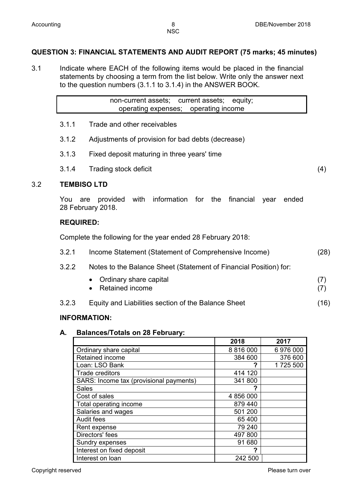**NSC** 

#### **QUESTION 3: FINANCIAL STATEMENTS AND AUDIT REPORT (75 marks; 45 minutes)**

3.1 Indicate where EACH of the following items would be placed in the financial statements by choosing a term from the list below. Write only the answer next to the question numbers (3.1.1 to 3.1.4) in the ANSWER BOOK.

> non-current assets; current assets; equity; operating expenses; operating income

- 3.1.1 Trade and other receivables
- 3.1.2 Adjustments of provision for bad debts (decrease)
- 3.1.3 Fixed deposit maturing in three years' time
- 3.1.4 Trading stock deficit (4)

#### 3.2 **TEMBISO LTD**

You are provided with information for the financial year ended 28 February 2018.

#### **REQUIRED:**

Complete the following for the year ended 28 February 2018:

| (28) |
|------|
|      |

- 3.2.2 Notes to the Balance Sheet (Statement of Financial Position) for:
	- Ordinary share capital (7) • Retained income
- 3.2.3 Equity and Liabilities section of the Balance Sheet (16)

#### **INFORMATION:**

#### **A. Balances/Totals on 28 February:**

|                                         | 2018          | 2017     |
|-----------------------------------------|---------------|----------|
| Ordinary share capital                  | 8 8 1 6 0 0 0 | 6976000  |
| Retained income                         | 384 600       | 376 600  |
| Loan: LSO Bank                          | 7             | 1725 500 |
| <b>Trade creditors</b>                  | 414 120       |          |
| SARS: Income tax (provisional payments) | 341 800       |          |
| <b>Sales</b>                            | 2             |          |
| Cost of sales                           | 4 856 000     |          |
| Total operating income                  | 879 440       |          |
| Salaries and wages                      | 501 200       |          |
| <b>Audit fees</b>                       | 65 400        |          |
| Rent expense                            | 79 240        |          |
| Directors' fees                         | 497 800       |          |
| Sundry expenses                         | 91 680        |          |
| Interest on fixed deposit               |               |          |
| Interest on loan                        | 242 500       |          |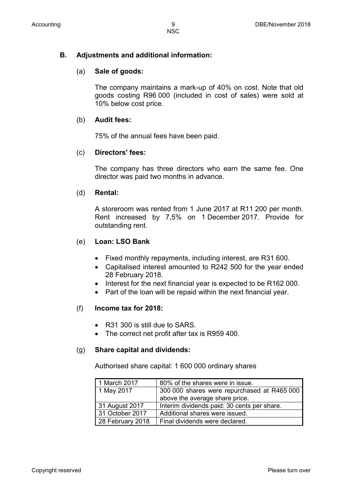#### **B. Adjustments and additional information:**

#### (a) **Sale of goods:**

The company maintains a mark-up of 40% on cost. Note that old goods costing R96 000 (included in cost of sales) were sold at 10% below cost price.

#### (b) **Audit fees:**

75% of the annual fees have been paid.

#### (c) **Directors' fees:**

The company has three directors who earn the same fee. One director was paid two months in advance.

#### (d) **Rental:**

A storeroom was rented from 1 June 2017 at R11 200 per month. Rent increased by 7,5% on 1 December 2017. Provide for outstanding rent.

#### (e) **Loan: LSO Bank**

- Fixed monthly repayments, including interest, are R31 600.
- Capitalised interest amounted to R242 500 for the year ended 28 February 2018.
- Interest for the next financial year is expected to be R162 000.
- Part of the loan will be repaid within the next financial year.

#### (f) **Income tax for 2018:**

- R31 300 is still due to SARS.
- The correct net profit after tax is R959 400.

#### (g) **Share capital and dividends:**

Authorised share capital: 1 600 000 ordinary shares

| 1 March 2017     | 80% of the shares were in issue.            |
|------------------|---------------------------------------------|
| 1 May 2017       | 300 000 shares were repurchased at R465 000 |
|                  | above the average share price.              |
| 31 August 2017   | Interim dividends paid: 30 cents per share. |
| 31 October 2017  | Additional shares were issued.              |
| 28 February 2018 | Final dividends were declared.              |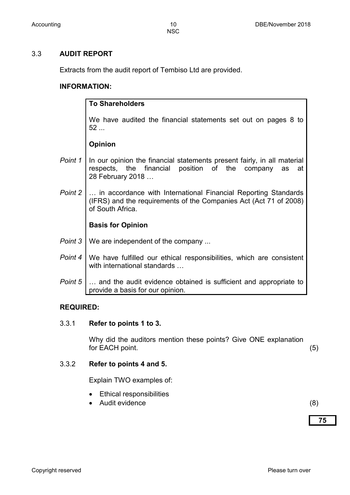#### 3.3 **AUDIT REPORT**

Extracts from the audit report of Tembiso Ltd are provided.

#### **INFORMATION:**

|         | <b>To Shareholders</b>                                                                                                                                     |
|---------|------------------------------------------------------------------------------------------------------------------------------------------------------------|
|         | We have audited the financial statements set out on pages 8 to<br>52                                                                                       |
|         | <b>Opinion</b>                                                                                                                                             |
| Point 1 | In our opinion the financial statements present fairly, in all material<br>respects, the financial position of the company<br>as<br>at<br>28 February 2018 |
| Point 2 | in accordance with International Financial Reporting Standards<br>(IFRS) and the requirements of the Companies Act (Act 71 of 2008)<br>of South Africa.    |
|         | <b>Basis for Opinion</b>                                                                                                                                   |
| Point 3 | We are independent of the company                                                                                                                          |
| Point 4 | We have fulfilled our ethical responsibilities, which are consistent<br>with international standards                                                       |
| Point 5 | and the audit evidence obtained is sufficient and appropriate to<br>provide a basis for our opinion.                                                       |

#### **REQUIRED:**

#### 3.3.1 **Refer to points 1 to 3.**

Why did the auditors mention these points? Give ONE explanation for EACH point. (5)

#### 3.3.2 **Refer to points 4 and 5.**

Explain TWO examples of:

- Ethical responsibilities
- Audit evidence (8)

**75**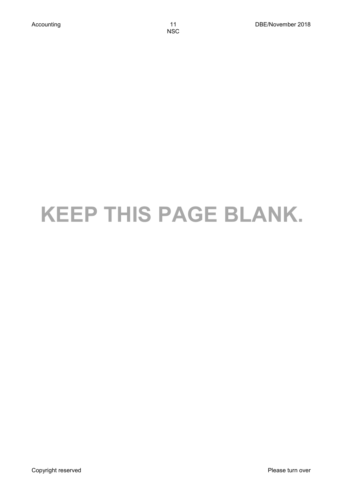# **KEEP THIS PAGE BLANK.**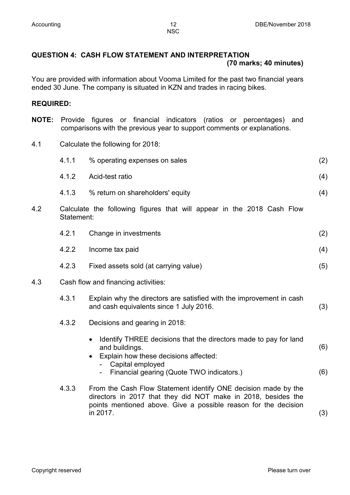#### **QUESTION 4: CASH FLOW STATEMENT AND INTERPRETATION (70 marks; 40 minutes)**

You are provided with information about Vooma Limited for the past two financial years ended 30 June. The company is situated in KZN and trades in racing bikes.

#### **REQUIRED:**

- **NOTE:** Provide figures or financial indicators (ratios or percentages) and comparisons with the previous year to support comments or explanations.
- 4.1 Calculate the following for 2018:

|     | 4.1.1      | % operating expenses on sales                                                                                                                                                                                          | (2)        |
|-----|------------|------------------------------------------------------------------------------------------------------------------------------------------------------------------------------------------------------------------------|------------|
|     | 4.1.2      | Acid-test ratio                                                                                                                                                                                                        | (4)        |
|     | 4.1.3      | % return on shareholders' equity                                                                                                                                                                                       | (4)        |
| 4.2 | Statement: | Calculate the following figures that will appear in the 2018 Cash Flow                                                                                                                                                 |            |
|     | 4.2.1      | Change in investments                                                                                                                                                                                                  | (2)        |
|     | 4.2.2      | Income tax paid                                                                                                                                                                                                        | (4)        |
|     | 4.2.3      | Fixed assets sold (at carrying value)                                                                                                                                                                                  | (5)        |
| 4.3 |            | Cash flow and financing activities:                                                                                                                                                                                    |            |
|     | 4.3.1      | Explain why the directors are satisfied with the improvement in cash<br>and cash equivalents since 1 July 2016.                                                                                                        | (3)        |
|     | 4.3.2      | Decisions and gearing in 2018:                                                                                                                                                                                         |            |
|     |            | Identify THREE decisions that the directors made to pay for land<br>$\bullet$<br>and buildings.<br>Explain how these decisions affected:<br>$\bullet$<br>Capital employed<br>Financial gearing (Quote TWO indicators.) | (6)<br>(6) |
|     |            |                                                                                                                                                                                                                        |            |
|     | 4.3.3      | From the Cash Flow Statement identify ONE decision made by the<br>directors in 2017 that they did NOT make in 2018, besides the<br>points mentioned above. Give a possible reason for the decision<br>in 2017.         | (3)        |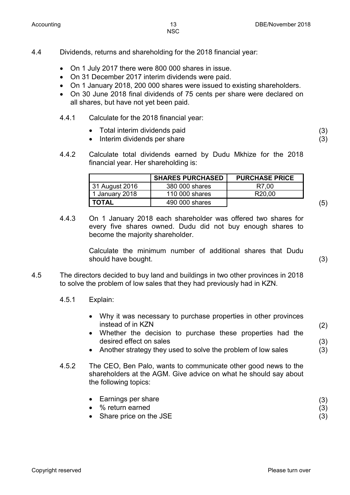NSC

#### 4.4 Dividends, returns and shareholding for the 2018 financial year:

- On 1 July 2017 there were 800 000 shares in issue.
- On 31 December 2017 interim dividends were paid.
- On 1 January 2018, 200 000 shares were issued to existing shareholders.
- On 30 June 2018 final dividends of 75 cents per share were declared on all shares, but have not yet been paid.
- 4.4.1 Calculate for the 2018 financial year:
	- Total interim dividends paid
	- Interim dividends per share
- 4.4.2 Calculate total dividends earned by Dudu Mkhize for the 2018 financial year. Her shareholding is:

|                | <b>SHARES PURCHASED</b> | <b>PURCHASE PRICE</b> |  |
|----------------|-------------------------|-----------------------|--|
| 31 August 2016 | 380 000 shares          | R7,00                 |  |
| 1 January 2018 | 110 000 shares          | R <sub>20,00</sub>    |  |
| TOTAL          | 490 000 shares          |                       |  |

4.4.3 On 1 January 2018 each shareholder was offered two shares for every five shares owned. Dudu did not buy enough shares to become the majority shareholder.

> Calculate the minimum number of additional shares that Dudu should have bought. (3)

- 4.5 The directors decided to buy land and buildings in two other provinces in 2018 to solve the problem of low sales that they had previously had in KZN.
	- 4.5.1 Explain:
		- Why it was necessary to purchase properties in other provinces instead of in KZN
		- Whether the decision to purchase these properties had the desired effect on sales
		- Another strategy they used to solve the problem of low sales
	- 4.5.2 The CEO, Ben Palo, wants to communicate other good news to the shareholders at the AGM. Give advice on what he should say about the following topics:
		- Earnings per share • % return earned • Share price on the JSE (3) (3) (3)

(2)

(3) (3)

(3) (3)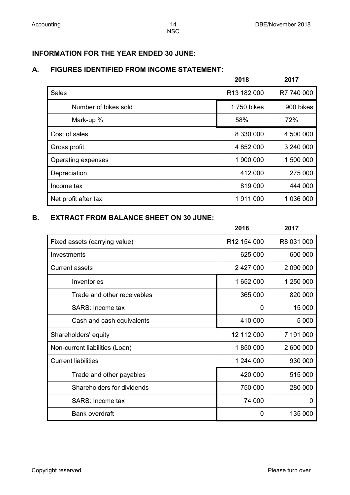## **INFORMATION FOR THE YEAR ENDED 30 JUNE:**

#### **A. FIGURES IDENTIFIED FROM INCOME STATEMENT:**

|                      | 2018        | 2017       |
|----------------------|-------------|------------|
| <b>Sales</b>         | R13 182 000 | R7 740 000 |
| Number of bikes sold | 1 750 bikes | 900 bikes  |
| Mark-up %            | 58%         | 72%        |
| Cost of sales        | 8 330 000   | 4 500 000  |
| Gross profit         | 4 852 000   | 3 240 000  |
| Operating expenses   | 1 900 000   | 1 500 000  |
| Depreciation         | 412 000     | 275 000    |
| Income tax           | 819 000     | 444 000    |
| Net profit after tax | 1911000     | 1 036 000  |

## **B. EXTRACT FROM BALANCE SHEET ON 30 JUNE:**

|                                | 2018        | 2017       |
|--------------------------------|-------------|------------|
| Fixed assets (carrying value)  | R12 154 000 | R8 031 000 |
| Investments                    | 625 000     | 600 000    |
| <b>Current assets</b>          | 2 427 000   | 2 090 000  |
| Inventories                    | 1 652 000   | 1 250 000  |
| Trade and other receivables    | 365 000     | 820 000    |
| SARS: Income tax               | 0           | 15 000     |
| Cash and cash equivalents      | 410 000     | 5 0 0 0    |
| Shareholders' equity           | 12 112 000  | 7 191 000  |
| Non-current liabilities (Loan) | 1850000     | 2 600 000  |
| <b>Current liabilities</b>     | 1 244 000   | 930 000    |
| Trade and other payables       | 420 000     | 515 000    |
| Shareholders for dividends     | 750 000     | 280 000    |
| SARS: Income tax               | 74 000      | 0          |
| <b>Bank overdraft</b>          | 0           | 135 000    |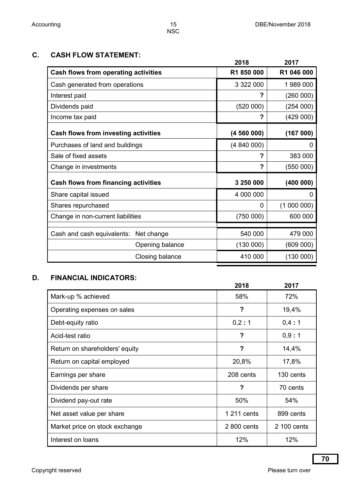#### **C. CASH FLOW STATEMENT:**

|                                          | 2018       | 2017       |
|------------------------------------------|------------|------------|
| Cash flows from operating activities     | R1 850 000 | R1 046 000 |
| Cash generated from operations           | 3 322 000  | 1989000    |
| Interest paid                            | ?          | (260000)   |
| Dividends paid                           | (520000)   | (254000)   |
| Income tax paid                          | ?          | (429 000)  |
| Cash flows from investing activities     | (4560000)  | (167000)   |
| Purchases of land and buildings          | (4840000)  | 0          |
| Sale of fixed assets                     | ?          | 383 000    |
| Change in investments                    | ?          | (550000)   |
| Cash flows from financing activities     | 3 250 000  | (400000)   |
| Share capital issued                     | 4 000 000  | 0          |
| Shares repurchased                       | $\Omega$   | (1000000)  |
| Change in non-current liabilities        | (750000)   | 600 000    |
|                                          |            |            |
| Cash and cash equivalents:<br>Net change | 540 000    | 479 000    |
| Opening balance                          | (130000)   | (609 000)  |
| Closing balance                          | 410 000    | (130000)   |

## **D. FINANCIAL INDICATORS:**

|                                | 2018        | 2017        |
|--------------------------------|-------------|-------------|
| Mark-up % achieved             | 58%         | 72%         |
| Operating expenses on sales    | ?           | 19,4%       |
| Debt-equity ratio              | 0,2:1       | 0,4:1       |
| Acid-test ratio                | ?           | 0,9:1       |
| Return on shareholders' equity | ?           | 14,4%       |
| Return on capital employed     | 20,8%       | 17,8%       |
| Earnings per share             | 208 cents   | 130 cents   |
| Dividends per share            | ?           | 70 cents    |
| Dividend pay-out rate          | 50%         | 54%         |
| Net asset value per share      | 1 211 cents | 899 cents   |
| Market price on stock exchange | 2 800 cents | 2 100 cents |
| Interest on loans              | 12%         | 12%         |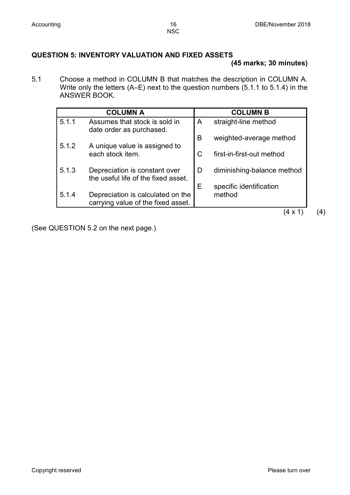#### **QUESTION 5: INVENTORY VALUATION AND FIXED ASSETS**

#### **(45 marks; 30 minutes)**

5.1 Choose a method in COLUMN B that matches the description in COLUMN A. Write only the letters (A–E) next to the question numbers (5.1.1 to 5.1.4) in the ANSWER BOOK.

|       | <b>COLUMN A</b>                                                         |             | <b>COLUMN B</b>            |
|-------|-------------------------------------------------------------------------|-------------|----------------------------|
| 5.1.1 | Assumes that stock is sold in<br>date order as purchased.               | A           | straight-line method       |
| 5.1.2 | A unique value is assigned to                                           | B           | weighted-average method    |
|       | each stock item.                                                        | $\mathsf C$ | first-in-first-out method  |
| 5.1.3 | Depreciation is constant over<br>the useful life of the fixed asset.    | D           | diminishing-balance method |
|       |                                                                         | Е           | specific identification    |
| 5.1.4 | Depreciation is calculated on the<br>carrying value of the fixed asset. |             | method                     |
|       |                                                                         |             | $\mathsf{x}$               |

(See QUESTION 5.2 on the next page.)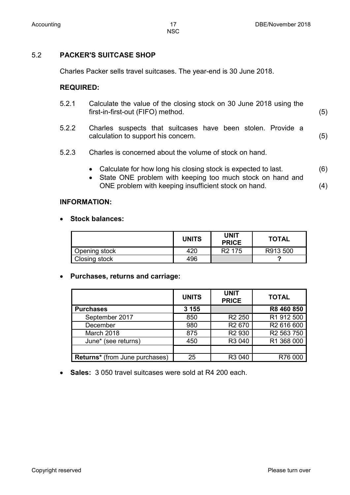#### 5.2 **PACKER'S SUITCASE SHOP**

Charles Packer sells travel suitcases. The year-end is 30 June 2018.

#### **REQUIRED:**

| 5.2.1 | Calculate the value of the closing stock on 30 June 2018 using the |     |
|-------|--------------------------------------------------------------------|-----|
|       | first-in-first-out (FIFO) method.                                  | (5) |

- 5.2.2 Charles suspects that suitcases have been stolen. Provide a calculation to support his concern. (5)
- 5.2.3 Charles is concerned about the volume of stock on hand.
	- Calculate for how long his closing stock is expected to last. (6)
	- State ONE problem with keeping too much stock on hand and ONE problem with keeping insufficient stock on hand. (4)

#### **INFORMATION:**

#### • **Stock balances:**

|               | <b>UNITS</b> | <b>UNIT</b><br><b>PRICE</b> | <b>TOTAL</b> |
|---------------|--------------|-----------------------------|--------------|
| Opening stock | 420          | R <sub>2</sub> 175          | R913 500     |
| Closing stock | 496          |                             |              |

#### • **Purchases, returns and carriage:**

|                                       | <b>UNITS</b> | <b>UNIT</b><br><b>PRICE</b> | <b>TOTAL</b> |
|---------------------------------------|--------------|-----------------------------|--------------|
| <b>Purchases</b>                      | 3 1 5 5      |                             | R8 460 850   |
| September 2017                        | 850          | R <sub>2</sub> 250          | R1 912 500   |
| December                              | 980          | R <sub>2</sub> 670          | R2 616 600   |
| March 2018                            | 875          | R <sub>2</sub> 930          | R2 563 750   |
| June* (see returns)                   | 450          | R3 040                      | R1 368 000   |
|                                       |              |                             |              |
| <b>Returns*</b> (from June purchases) | 25           | R <sub>3</sub> 040          | R76 000      |

• **Sales:** 3 050 travel suitcases were sold at R4 200 each.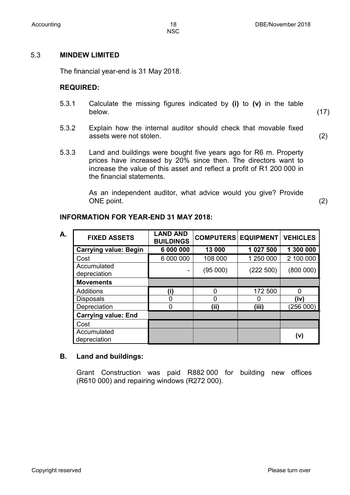NSC

#### 5.3 **MINDEW LIMITED**

The financial year-end is 31 May 2018.

#### **REQUIRED:**

- 5.3.1 Calculate the missing figures indicated by **(i)** to **(v)** in the table below. (17)
- 5.3.2 Explain how the internal auditor should check that movable fixed assets were not stolen. (2)
- 5.3.3 Land and buildings were bought five years ago for R6 m. Property prices have increased by 20% since then. The directors want to increase the value of this asset and reflect a profit of R1 200 000 in the financial statements.

As an independent auditor, what advice would you give? Provide ONE point. (2)

#### **INFORMATION FOR YEAR-END 31 MAY 2018:**

| А. | <b>FIXED ASSETS</b>          | <b>LAND AND</b><br><b>BUILDINGS</b> | <b>COMPUTERS EQUIPMENT VEHICLES</b> |           |           |
|----|------------------------------|-------------------------------------|-------------------------------------|-----------|-----------|
|    | <b>Carrying value: Begin</b> | 6 000 000                           | 13 000                              | 1 027 500 | 1 300 000 |
|    | Cost                         | 6 000 000                           | 108 000                             | 1 250 000 | 2 100 000 |
|    | Accumulated<br>depreciation  |                                     | (95000)                             | (222 500) | (800 000) |
|    | <b>Movements</b>             |                                     |                                     |           |           |
|    | <b>Additions</b>             | (i)                                 | 0                                   | 172 500   | 0         |
|    | <b>Disposals</b>             |                                     | 0                                   |           | (iv)      |
|    | Depreciation                 | U                                   | (ii)                                | (iii)     | (256 000) |
|    | <b>Carrying value: End</b>   |                                     |                                     |           |           |
|    | Cost                         |                                     |                                     |           |           |
|    | Accumulated<br>depreciation  |                                     |                                     |           | (v)       |

#### **B. Land and buildings:**

Grant Construction was paid R882 000 for building new offices (R610 000) and repairing windows (R272 000).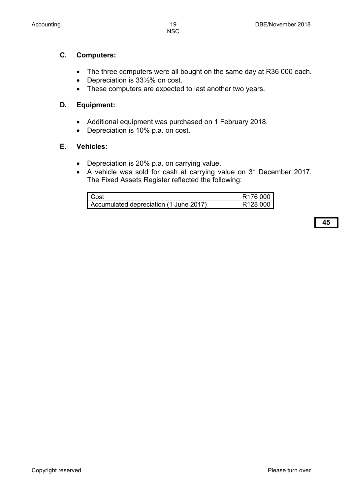- The three computers were all bought on the same day at R36 000 each.
- Depreciation is 33⅓% on cost.
- These computers are expected to last another two years.

#### **D. Equipment:**

**C. Computers:** 

- Additional equipment was purchased on 1 February 2018.
- Depreciation is 10% p.a. on cost.

#### **E. Vehicles:**

- Depreciation is 20% p.a. on carrying value.
- A vehicle was sold for cash at carrying value on 31 December 2017. The Fixed Assets Register reflected the following:

| l Cost                                 | R <sub>176</sub> 000 |
|----------------------------------------|----------------------|
| Accumulated depreciation (1 June 2017) | R <sub>128</sub> 000 |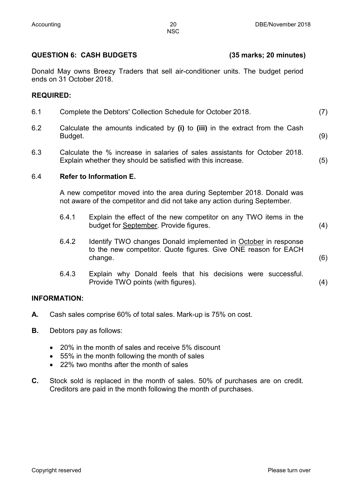#### **QUESTION 6: CASH BUDGETS (35 marks; 20 minutes)**

Donald May owns Breezy Traders that sell air-conditioner units. The budget period ends on 31 October 2018.

#### **REQUIRED:**

- 6.1 Complete the Debtors' Collection Schedule for October 2018. (7)
- 6.2 Calculate the amounts indicated by **(i)** to **(iii)** in the extract from the Cash Budget. (9)
- 6.3 Calculate the % increase in salaries of sales assistants for October 2018. Explain whether they should be satisfied with this increase. (5)

#### 6.4 **Refer to Information E.**

A new competitor moved into the area during September 2018. Donald was not aware of the competitor and did not take any action during September.

- 6.4.1 Explain the effect of the new competitor on any TWO items in the budget for September. Provide figures. (4)
- 6.4.2 Identify TWO changes Donald implemented in October in response to the new competitor. Quote figures. Give ONE reason for EACH change. (6)
- 6.4.3 Explain why Donald feels that his decisions were successful. Provide TWO points (with figures). (4)

#### **INFORMATION:**

- **A.** Cash sales comprise 60% of total sales. Mark-up is 75% on cost.
- **B.** Debtors pay as follows:
	- 20% in the month of sales and receive 5% discount
	- 55% in the month following the month of sales
	- 22% two months after the month of sales
- **C.** Stock sold is replaced in the month of sales. 50% of purchases are on credit. Creditors are paid in the month following the month of purchases.